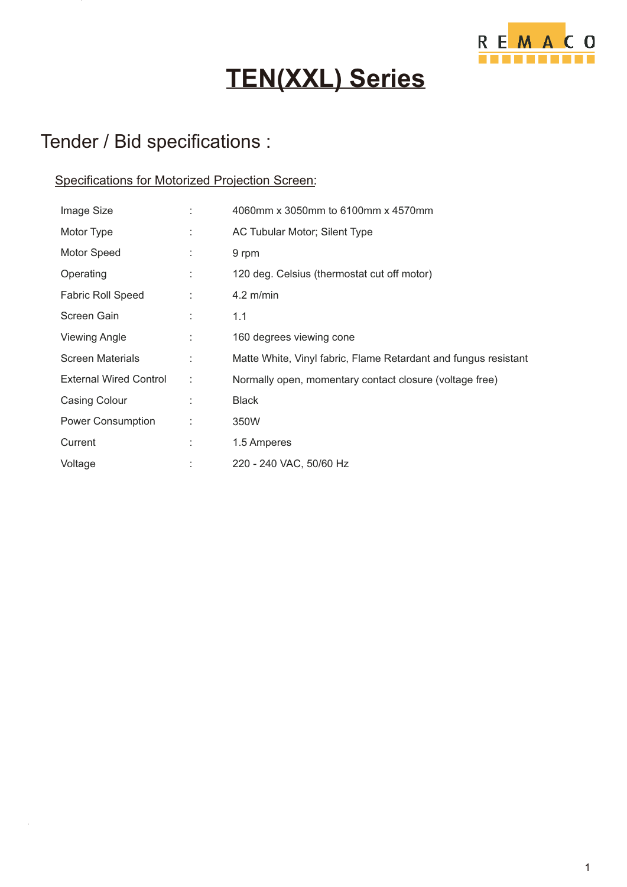

## **TEN(XXL) Series**

### Tender / Bid specifications :

#### Specifications for Motorized Projection Screen:

| Image Size                    |    | 4060mm x 3050mm to 6100mm x 4570mm                              |
|-------------------------------|----|-----------------------------------------------------------------|
| Motor Type                    | t. | AC Tubular Motor; Silent Type                                   |
| Motor Speed                   |    | 9 rpm                                                           |
| Operating                     |    | 120 deg. Celsius (thermostat cut off motor)                     |
| <b>Fabric Roll Speed</b>      | ÷  | $4.2$ m/min                                                     |
| Screen Gain                   | ÷  | 1.1                                                             |
| <b>Viewing Angle</b>          | ÷  | 160 degrees viewing cone                                        |
| <b>Screen Materials</b>       |    | Matte White, Vinyl fabric, Flame Retardant and fungus resistant |
| <b>External Wired Control</b> | ÷  | Normally open, momentary contact closure (voltage free)         |
| Casing Colour                 |    | <b>Black</b>                                                    |
| Power Consumption             |    | 350W                                                            |
| Current                       |    | 1.5 Amperes                                                     |
| Voltage                       |    | 220 - 240 VAC, 50/60 Hz                                         |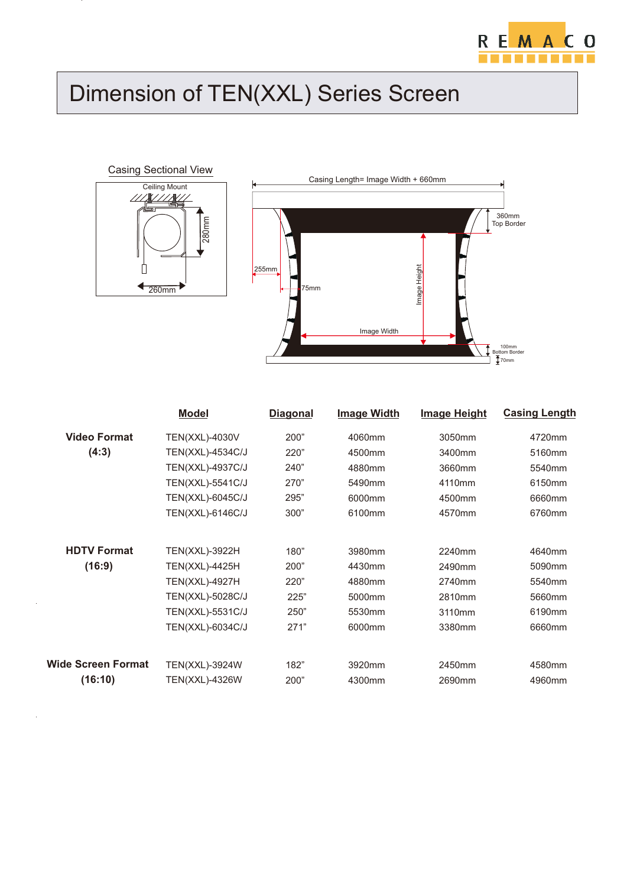

# Dimension of TEN(XXL) Series Screen



 $\ddot{\phantom{a}}$ 

 $\overline{\phantom{a}}$ 



|                     | <b>Model</b>          | <b>Diagonal</b> | <b>Image Width</b> | <b>Image Height</b> | <b>Casing Length</b> |
|---------------------|-----------------------|-----------------|--------------------|---------------------|----------------------|
| <b>Video Format</b> | <b>TEN(XXL)-4030V</b> | 200"            | 4060mm             | 3050mm              | 4720mm               |
| (4:3)               | TEN(XXL)-4534C/J      | 220"            | 4500mm             | 3400mm              | 5160mm               |
|                     | TEN(XXL)-4937C/J      | 240"            | 4880mm             | 3660mm              | 5540mm               |
|                     | TEN(XXL)-5541C/J      | 270"            | 5490mm             | 4110mm              | 6150mm               |
|                     | TEN(XXL)-6045C/J      | 295"            | 6000mm             | 4500mm              | 6660mm               |
|                     | TEN(XXL)-6146C/J      | 300"            | 6100mm             | 4570mm              | 6760mm               |
| <b>HDTV Format</b>  | TEN(XXL)-3922H        | 180"            | 3980mm             | 2240mm              | 4640mm               |
| (16:9)              | TEN(XXL)-4425H        | 200"            | 4430mm             | 2490mm              | 5090mm               |
|                     | TEN(XXL)-4927H        | 220"            | 4880mm             | 2740mm              | 5540mm               |
|                     | TEN(XXL)-5028C/J      | 225"            | 5000mm             | 2810mm              | 5660mm               |
|                     | TEN(XXL)-5531C/J      | 250"            | 5530mm             | 3110mm              | 6190mm               |
|                     | TEN(XXL)-6034C/J      | 271"            | 6000mm             | 3380mm              | 6660mm               |
|                     |                       |                 |                    |                     |                      |
| Wide Screen Format  | <b>TEN(XXL)-3924W</b> | 182"            | 3920mm             | 2450mm              | 4580mm               |
| (16:10)             | <b>TEN(XXL)-4326W</b> | 200"            | 4300mm             | 2690mm              | 4960mm               |
|                     |                       |                 |                    |                     |                      |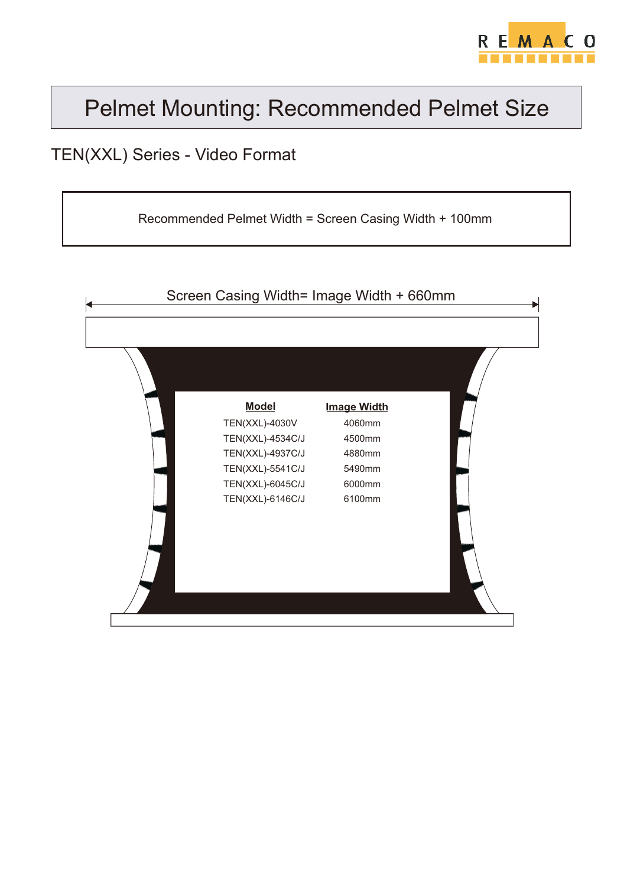

### Pelmet Mounting: Recommended Pelmet Size

#### TEN(XXL) Series - Video Format

Recommended Pelmet Width = Screen Casing Width + 100mm

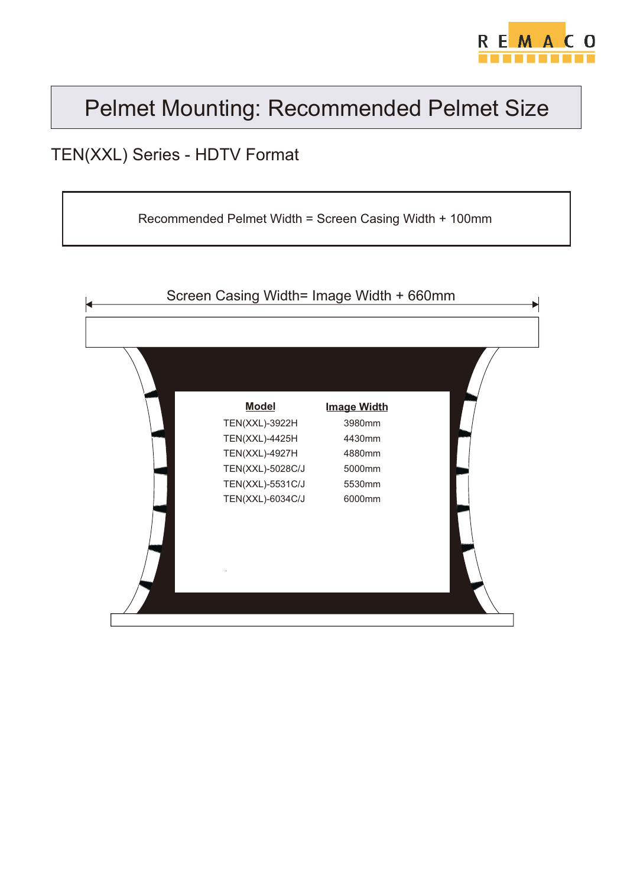

### Pelmet Mounting: Recommended Pelmet Size

#### TEN(XXL) Series - HDTV Format

Recommended Pelmet Width = Screen Casing Width + 100mm